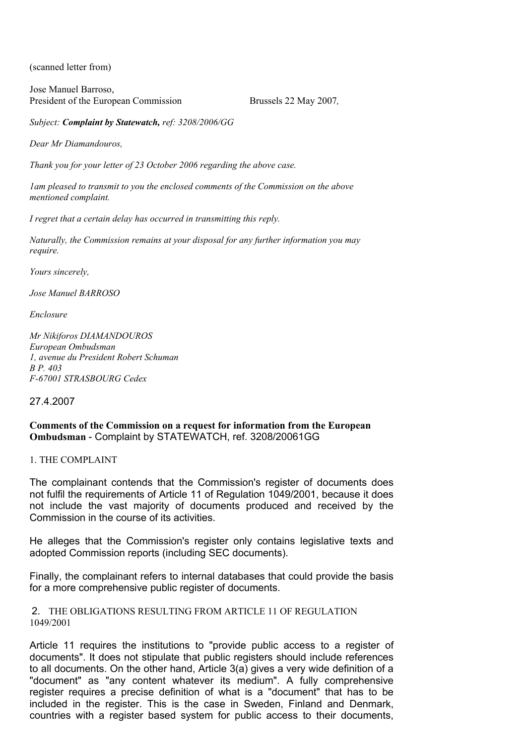(scanned letter from)

Jose Manuel Barroso, President of the European Commission Brussels 22 May 2007,

*Subject: Complaint by Statewatch, ref: 3208/2006/GG* 

*Dear Mr Diamandouros,* 

*Thank you for your letter of 23 October 2006 regarding the above case.* 

*1am pleased to transmit to you the enclosed comments of the Commission on the above mentioned complaint.* 

*I regret that a certain delay has occurred in transmitting this reply.* 

*Naturally, the Commission remains at your disposal for any further information you may require.* 

*Yours sincerely,* 

*Jose Manuel BARROSO* 

*Enclosure* 

*Mr Nikiforos DIAMANDOUROS European Ombudsman 1, avenue du President Robert Schuman B P. 403 F-67001 STRASBOURG Cedex* 

#### 27.4.2007

# **Comments of the Commission on a request for information from the European Ombudsman** - Complaint by STATEWATCH, ref. 3208/20061GG

#### 1. THE COMPLAINT

The complainant contends that the Commission's register of documents does not fulfil the requirements of Article 11 of Regulation 1049/2001, because it does not include the vast majority of documents produced and received by the Commission in the course of its activities.

He alleges that the Commission's register only contains legislative texts and adopted Commission reports (including SEC documents).

Finally, the complainant refers to internal databases that could provide the basis for a more comprehensive public register of documents.

 2. THE OBLIGATIONS RESULTING FROM ARTICLE 11 OF REGULATION 1049/2001

Article 11 requires the institutions to "provide public access to a register of documents". It does not stipulate that public registers should include references to all documents. On the other hand, Article 3(a) gives a very wide definition of a "document" as "any content whatever its medium". A fully comprehensive register requires a precise definition of what is a "document" that has to be included in the register. This is the case in Sweden, Finland and Denmark, countries with a register based system for public access to their documents,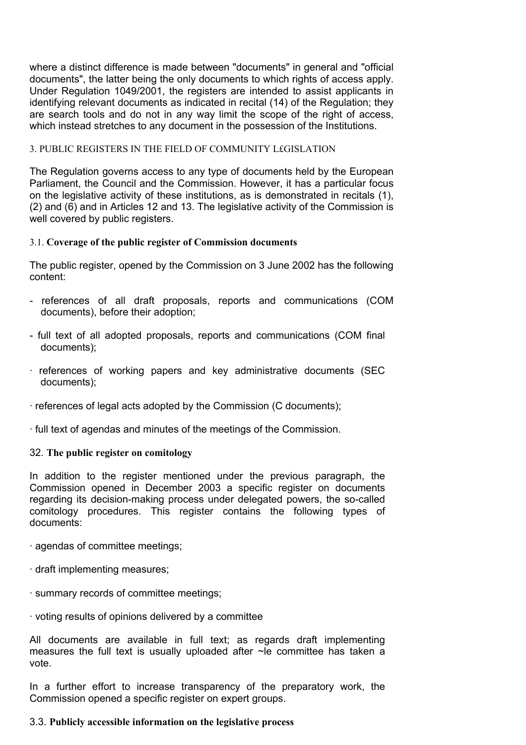where a distinct difference is made between "documents" in general and "official documents", the latter being the only documents to which rights of access apply. Under Regulation 1049/2001, the registers are intended to assist applicants in identifying relevant documents as indicated in recital (14) of the Regulation; they are search tools and do not in any way limit the scope of the right of access, which instead stretches to any document in the possession of the Institutions.

### 3. PUBLIC REGISTERS IN THE FIELD OF COMMUNITY L£GISLATION

The Regulation governs access to any type of documents held by the European Parliament, the Council and the Commission. However, it has a particular focus on the legislative activity of these institutions, as is demonstrated in recitals (1), (2) and (6) and in Articles 12 and 13. The legislative activity of the Commission is well covered by public registers.

### 3.1. **Coverage of the public register of Commission documents**

The public register, opened by the Commission on 3 June 2002 has the following content:

- references of all draft proposals, reports and communications (COM documents), before their adoption;
- full text of all adopted proposals, reports and communications (COM final documents);
- · references of working papers and key administrative documents (SEC documents);
- · references of legal acts adopted by the Commission (C documents);
- · full text of agendas and minutes of the meetings of the Commission.

#### 32. **The public register on comitology**

In addition to the register mentioned under the previous paragraph, the Commission opened in December 2003 a specific register on documents regarding its decision-making process under delegated powers, the so-called comitology procedures. This register contains the following types of documents:

- · agendas of committee meetings;
- · draft implementing measures;
- · summary records of committee meetings;
- · voting results of opinions delivered by a committee

All documents are available in full text; as regards draft implementing measures the full text is usually uploaded after ~le committee has taken a vote.

In a further effort to increase transparency of the preparatory work, the Commission opened a specific register on expert groups.

### 3.3. **Publicly accessible information on the legislative process**